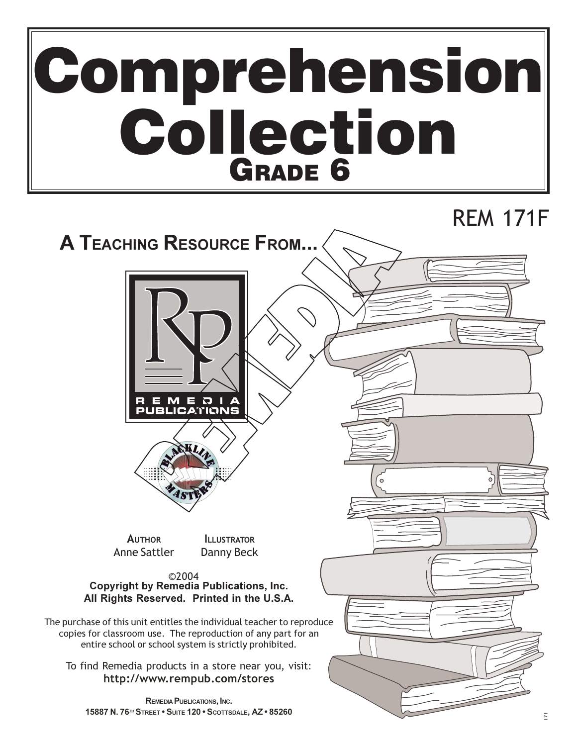# Comprehension **Collection**

# **REM 171F**

# **A TEACHING RESOURCE FROM...**





**AUTHOR Anne Sattler** 

**ILLUSTRATOR** Danny Beck

©2004 **Copyright by Remedia Publications, Inc.** All Rights Reserved. Printed in the U.S.A.

The purchase of this unit entitles the individual teacher to reproduce copies for classroom use. The reproduction of any part for an entire school or school system is strictly prohibited.

To find Remedia products in a store near you, visit: http://www.rempub.com/stores

REMEDIA PUBLICATIONS, INC. 15887 N. 76<sup>H</sup> STREET . SUITE 120 . SCOTTSDALE, AZ . 85260

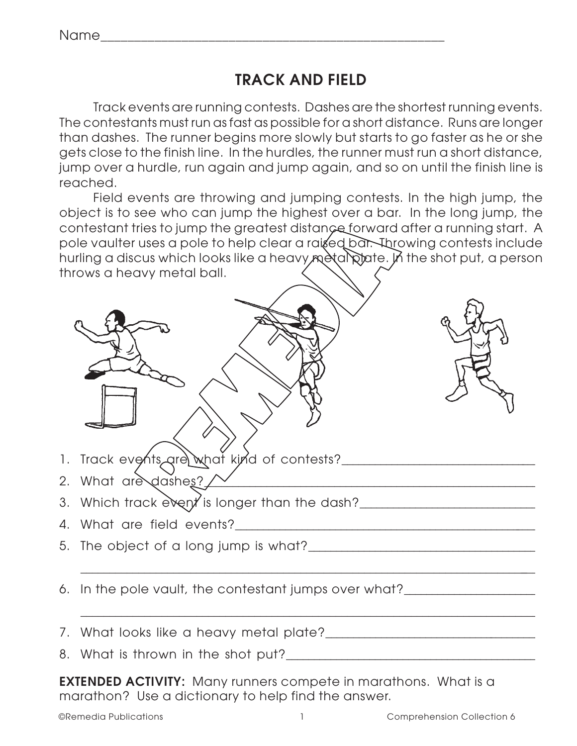# **TRACK AND FIELD**

Track events are running contests. Dashes are the shortest running events. The contestants must run as fast as possible for a short distance. Runs are longer than dashes. The runner begins more slowly but starts to go faster as he or she gets close to the finish line. In the hurdles, the runner must run a short distance, jump over a hurdle, run again and jump again, and so on until the finish line is reached.

Field events are throwing and jumping contests. In the high jump, the object is to see who can jump the highest over a bar. In the long jump, the contestant tries to jump the greatest distance forward after a running start. A pole vaulter uses a pole to help clear a raised bar. Throwing contests include hurling a discus which looks like a heavy metal plate. In the shot put, a person throws a heavy metal ball.



- 1. Track events are what kind of contests?\_\_\_\_\_\_\_\_\_\_\_\_\_\_\_\_\_\_\_\_\_\_\_\_\_\_\_\_\_\_\_\_\_\_\_\_\_\_
- 2. What are dashes? The contract of  $2\pi$
- 3. Which track event is longer than the dash?
- 4. What are field events?\_\_\_\_\_\_\_\_\_\_\_\_\_\_\_\_\_\_\_\_\_\_\_\_\_\_\_\_\_\_\_\_\_\_\_\_\_\_\_\_\_\_\_\_\_\_\_\_\_\_\_\_\_\_\_\_\_
- 5. The object of a long jump is what?\_\_\_\_\_\_\_\_\_\_\_\_\_\_\_\_\_\_\_\_\_\_\_\_\_\_\_\_\_\_\_\_\_\_\_\_\_\_\_\_\_\_\_\_
- 6. In the pole vault, the contestant jumps over what?
- 7. What looks like a heavy metal plate?\_\_\_\_\_\_\_\_\_\_\_\_\_\_\_\_\_\_\_\_\_\_\_\_\_\_\_\_\_\_\_\_\_\_\_\_\_\_\_\_
- 8. What is thrown in the shot put?\_\_\_\_\_\_\_\_\_\_\_\_\_\_\_\_\_\_\_\_\_\_\_\_\_\_\_\_\_\_\_\_\_\_\_\_\_\_\_\_\_\_\_\_\_\_\_
- **EXTENDED ACTIVITY:** Many runners compete in marathons. What is a marathon? Use a dictionary to help find the answer.

\_\_\_\_\_\_\_\_\_\_\_\_\_\_\_\_\_\_\_\_\_\_\_\_\_\_\_\_\_\_\_\_\_\_\_\_\_\_\_\_\_\_\_\_\_\_\_\_\_\_\_\_\_\_\_\_\_\_\_\_\_\_\_\_\_\_\_\_\_\_\_\_\_\_\_\_\_\_\_\_\_

\_\_\_\_\_\_\_\_\_\_\_\_\_\_\_\_\_\_\_\_\_\_\_\_\_\_\_\_\_\_\_\_\_\_\_\_\_\_\_\_\_\_\_\_\_\_\_\_\_\_\_\_\_\_\_\_\_\_\_\_\_\_\_\_\_\_\_\_\_\_\_\_\_\_\_\_\_\_\_\_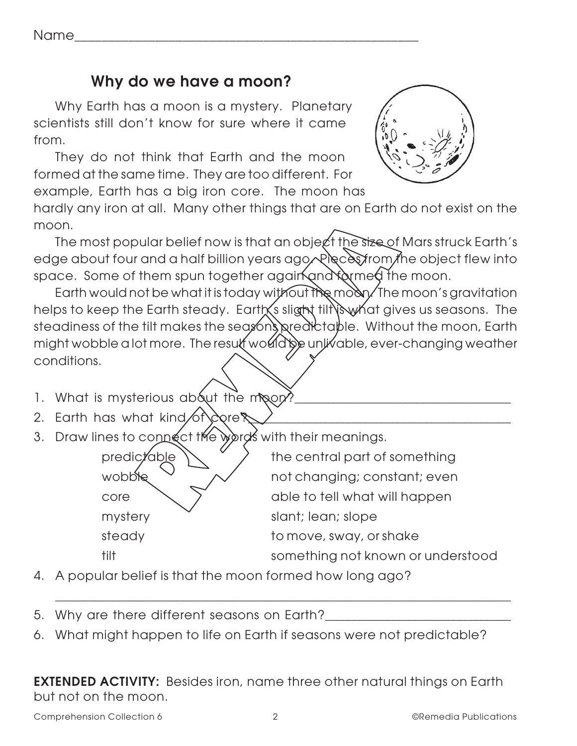Name\_\_\_\_\_\_\_\_\_\_\_\_\_\_\_\_\_\_\_\_\_\_\_\_\_\_\_\_\_\_\_\_\_\_\_\_\_\_\_\_\_\_\_\_\_\_\_\_\_\_\_

### **Why do we have a moon?**

Why Earth has a moon is a mystery. Planetary scientists still don't know for sure where it came from.

They do not think that Earth and the moon formed at the same time. They are too different. For example, Earth has a big iron core. The moon has

hardly any iron at all. Many other things that are on Earth do not exist on the moon.

The most popular belief now is that an object the size of Mars struck Earth's edge about four and a half billion years ago. Pieces from the object flew into space. Some of them spun together again and formed the moon.

Earth would not be what it is today without the moon. The moon's gravitation helps to keep the Earth steady. Earth's slight tilt is what gives us seasons. The steadiness of the tilt makes the seasons predictable. Without the moon, Earth might wobble a lot more. The result would be unlivable, ever-changing weather conditions.

- 1. What is mysterious about the moon?\_\_\_\_\_\_\_\_\_\_\_\_\_\_\_\_\_\_\_\_\_\_\_\_\_\_\_\_\_\_\_\_\_\_\_\_\_\_\_\_\_
- 2. Earth has what kind of core?\_\_\_\_\_\_\_\_\_\_\_\_\_\_\_\_\_\_\_\_\_\_\_\_\_\_\_\_\_\_\_\_\_\_\_\_\_\_\_\_\_\_\_\_\_\_\_\_\_
- 3. Draw lines to connect the words with their meanings.

| predictable | the central part of something     |
|-------------|-----------------------------------|
| wobble      | not changing; constant; even      |
| core        | able to tell what will happen     |
| mystery     | slant; lean; slope                |
| steady      | to move, sway, or shake           |
| tilt        | something not known or understood |

\_\_\_\_\_\_\_\_\_\_\_\_\_\_\_\_\_\_\_\_\_\_\_\_\_\_\_\_\_\_\_\_\_\_\_\_\_\_\_\_\_\_\_\_\_\_\_\_\_\_\_\_\_\_\_\_\_\_\_\_\_\_\_\_\_\_\_\_\_\_\_\_\_\_\_\_\_\_\_\_

4. A popular belief is that the moon formed how long ago?

5. Why are there different seasons on Earth?\_\_\_\_\_\_\_\_\_\_\_\_\_\_\_\_\_\_\_\_\_\_\_\_\_\_\_\_\_\_\_\_\_\_\_

6. What might happen to life on Earth if seasons were not predictable?

**EXTENDED ACTIVITY:** Besides iron, name three other natural things on Earth but not on the moon.

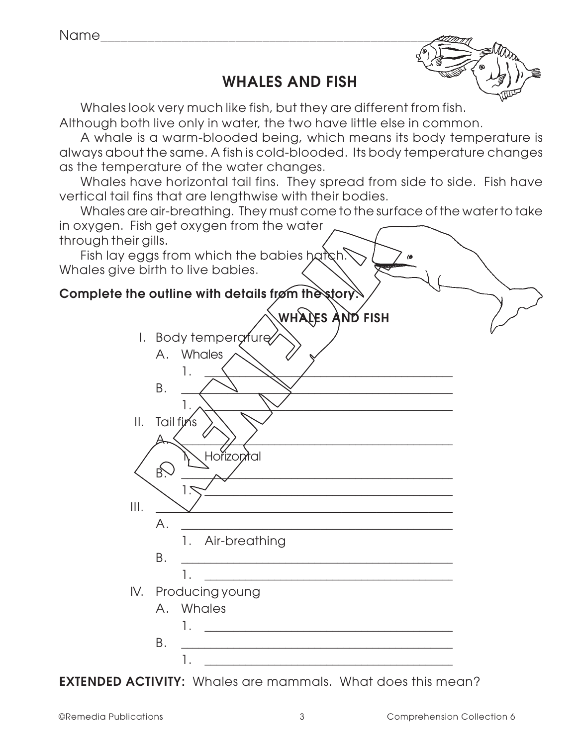# **WHALES AND FISH**



Whales look very much like fish, but they are different from fish.

Although both live only in water, the two have little else in common.

A whale is a warm-blooded being, which means its body temperature is always about the same. A fish is cold-blooded. Its body temperature changes as the temperature of the water changes.

Whales have horizontal tail fins. They spread from side to side. Fish have vertical tail fins that are lengthwise with their bodies.

Whales are air-breathing. They must come to the surface of the water to take in oxygen. Fish get oxygen from the water through their gills.

Fish lay eggs from which the babies hatch. Whales give birth to live babies.



#### **Complete the outline with details from the story.**

|     | I. Body temperature |                                                                                                                     |  |  |  |  |  |
|-----|---------------------|---------------------------------------------------------------------------------------------------------------------|--|--|--|--|--|
|     |                     | A. Whales                                                                                                           |  |  |  |  |  |
|     |                     |                                                                                                                     |  |  |  |  |  |
|     | В.                  |                                                                                                                     |  |  |  |  |  |
|     |                     | 1.                                                                                                                  |  |  |  |  |  |
|     | II. Tailfins        |                                                                                                                     |  |  |  |  |  |
|     | Α.                  | <u> 1989 - Johann Barbara, martxa alemaniar arg</u>                                                                 |  |  |  |  |  |
|     |                     | 1. Horizontal                                                                                                       |  |  |  |  |  |
|     | <b>B</b> .          |                                                                                                                     |  |  |  |  |  |
|     |                     | 1.<br><u> 1989 - Johann John Stone, mars eta bainar eta mondo eta politika</u>                                      |  |  |  |  |  |
| Ш.  |                     |                                                                                                                     |  |  |  |  |  |
|     | $A_{1}$             |                                                                                                                     |  |  |  |  |  |
|     |                     |                                                                                                                     |  |  |  |  |  |
|     |                     | 1. Air-breathing                                                                                                    |  |  |  |  |  |
|     | Β.                  |                                                                                                                     |  |  |  |  |  |
|     |                     | 1.                                                                                                                  |  |  |  |  |  |
| IV. |                     | Producing young                                                                                                     |  |  |  |  |  |
|     | A. Whales           |                                                                                                                     |  |  |  |  |  |
|     |                     | 1. The contract of the contract of $\mathcal{L}_\mathcal{A}$                                                        |  |  |  |  |  |
|     | Β.                  | <u> 1989 - Johann John Stone, mars eta bainar eta industrial eta erromania eta industrial eta erromania eta err</u> |  |  |  |  |  |
|     |                     |                                                                                                                     |  |  |  |  |  |
|     |                     |                                                                                                                     |  |  |  |  |  |

**EXTENDED ACTIVITY:** Whales are mammals. What does this mean?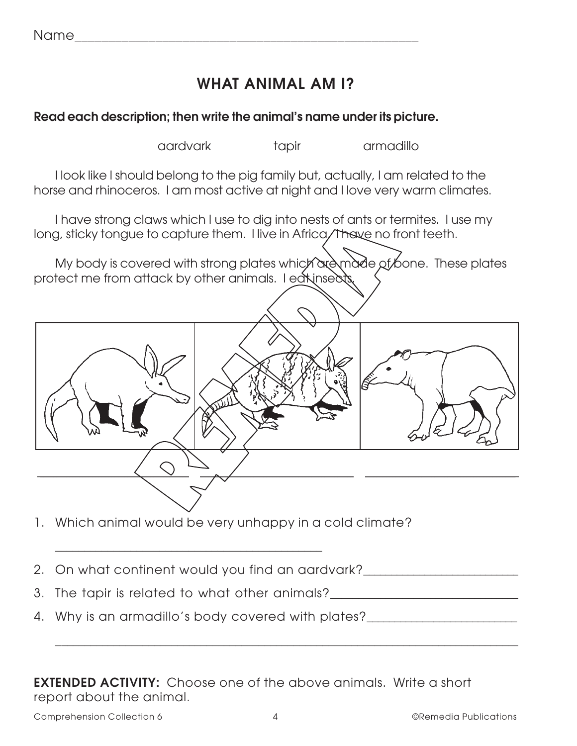| $N \sim m$ |  | _____<br>_____<br>______<br>___ | _______ |
|------------|--|---------------------------------|---------|
|            |  |                                 |         |

# **WHAT ANIMAL AM I?**

#### **Read each description; then write the animal's name under its picture.**

aardvark tapir armadillo

I look like I should belong to the pig family but, actually, I am related to the horse and rhinoceros. I am most active at night and I love very warm climates.

I have strong claws which I use to dig into nests of ants or termites. I use my long, sticky tongue to capture them. I live in Africa. I have no front teeth.

My body is covered with strong plates which are made of bone. These plates protect me from attack by other animals. I eat insects.



\_\_\_\_\_\_\_\_\_\_\_\_\_\_\_\_\_\_\_\_\_\_\_\_\_\_\_\_\_\_\_\_\_\_\_\_\_\_\_\_\_\_\_\_\_\_\_\_\_\_\_\_\_\_\_\_\_\_\_\_\_\_\_\_\_\_\_\_\_\_\_\_\_\_\_\_\_\_\_\_\_\_\_\_\_\_\_\_\_\_\_\_\_\_\_\_\_\_\_\_\_\_\_\_\_\_\_\_\_\_\_\_\_\_\_\_\_\_\_\_\_\_\_\_\_\_\_\_\_\_\_\_\_\_\_\_\_\_\_\_\_\_\_\_\_\_\_\_

- 1. Which animal would be very unhappy in a cold climate?
- 2. On what continent would you find an aardvark?
- 3. The tapir is related to what other animals?\_\_\_\_\_\_\_\_\_\_\_\_\_\_\_\_\_\_\_\_\_\_\_\_\_\_\_\_\_\_\_\_\_\_

\_\_\_\_\_\_\_\_\_\_\_\_\_\_\_\_\_\_\_\_\_\_\_\_\_\_\_\_\_\_\_\_\_\_\_\_\_\_\_\_\_\_\_\_\_\_

4. Why is an armadillo's body covered with plates?

**EXTENDED ACTIVITY:** Choose one of the above animals. Write a short report about the animal.

Comprehension Collection 6 (Comprehension Collection 6  $\overline{a}$  4 (Comprehension Collections)

\_\_\_\_\_\_\_\_\_\_\_\_\_\_\_\_\_\_\_\_\_\_\_\_\_\_\_\_\_\_\_\_\_\_\_\_\_\_\_\_\_\_\_\_\_\_\_\_\_\_\_\_\_\_\_\_\_\_\_\_\_\_\_\_\_\_\_\_\_\_\_\_\_\_\_\_\_\_\_\_